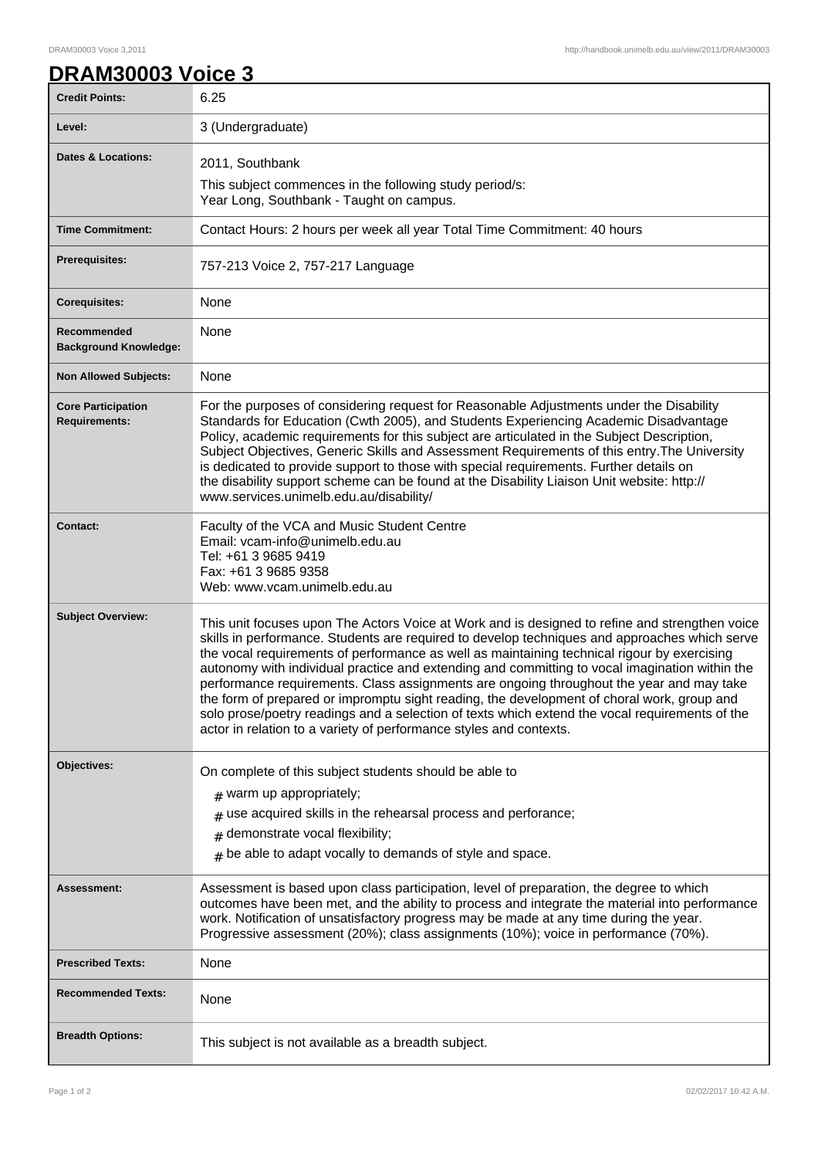## **DRAM30003 Voice 3**

| <b>Credit Points:</b>                             | 6.25                                                                                                                                                                                                                                                                                                                                                                                                                                                                                                                                                                                                                                                                                                                                                               |
|---------------------------------------------------|--------------------------------------------------------------------------------------------------------------------------------------------------------------------------------------------------------------------------------------------------------------------------------------------------------------------------------------------------------------------------------------------------------------------------------------------------------------------------------------------------------------------------------------------------------------------------------------------------------------------------------------------------------------------------------------------------------------------------------------------------------------------|
| Level:                                            | 3 (Undergraduate)                                                                                                                                                                                                                                                                                                                                                                                                                                                                                                                                                                                                                                                                                                                                                  |
| <b>Dates &amp; Locations:</b>                     | 2011, Southbank                                                                                                                                                                                                                                                                                                                                                                                                                                                                                                                                                                                                                                                                                                                                                    |
|                                                   | This subject commences in the following study period/s:<br>Year Long, Southbank - Taught on campus.                                                                                                                                                                                                                                                                                                                                                                                                                                                                                                                                                                                                                                                                |
| <b>Time Commitment:</b>                           | Contact Hours: 2 hours per week all year Total Time Commitment: 40 hours                                                                                                                                                                                                                                                                                                                                                                                                                                                                                                                                                                                                                                                                                           |
| Prerequisites:                                    | 757-213 Voice 2, 757-217 Language                                                                                                                                                                                                                                                                                                                                                                                                                                                                                                                                                                                                                                                                                                                                  |
| <b>Corequisites:</b>                              | None                                                                                                                                                                                                                                                                                                                                                                                                                                                                                                                                                                                                                                                                                                                                                               |
| Recommended<br><b>Background Knowledge:</b>       | None                                                                                                                                                                                                                                                                                                                                                                                                                                                                                                                                                                                                                                                                                                                                                               |
| <b>Non Allowed Subjects:</b>                      | None                                                                                                                                                                                                                                                                                                                                                                                                                                                                                                                                                                                                                                                                                                                                                               |
| <b>Core Participation</b><br><b>Requirements:</b> | For the purposes of considering request for Reasonable Adjustments under the Disability<br>Standards for Education (Cwth 2005), and Students Experiencing Academic Disadvantage<br>Policy, academic requirements for this subject are articulated in the Subject Description,<br>Subject Objectives, Generic Skills and Assessment Requirements of this entry. The University<br>is dedicated to provide support to those with special requirements. Further details on<br>the disability support scheme can be found at the Disability Liaison Unit website: http://<br>www.services.unimelb.edu.au/disability/                                                                                                                                                   |
| <b>Contact:</b>                                   | Faculty of the VCA and Music Student Centre<br>Email: vcam-info@unimelb.edu.au<br>Tel: +61 3 9685 9419<br>Fax: +61 3 9685 9358<br>Web: www.vcam.unimelb.edu.au                                                                                                                                                                                                                                                                                                                                                                                                                                                                                                                                                                                                     |
| <b>Subject Overview:</b>                          | This unit focuses upon The Actors Voice at Work and is designed to refine and strengthen voice<br>skills in performance. Students are required to develop techniques and approaches which serve<br>the vocal requirements of performance as well as maintaining technical rigour by exercising<br>autonomy with individual practice and extending and committing to vocal imagination within the<br>performance requirements. Class assignments are ongoing throughout the year and may take<br>the form of prepared or impromptu sight reading, the development of choral work, group and<br>solo prose/poetry readings and a selection of texts which extend the vocal requirements of the<br>actor in relation to a variety of performance styles and contexts. |
| Objectives:                                       | On complete of this subject students should be able to<br>$#$ warm up appropriately;<br>$#$ use acquired skills in the rehearsal process and perforance;<br>$#$ demonstrate vocal flexibility;<br>$#$ be able to adapt vocally to demands of style and space.                                                                                                                                                                                                                                                                                                                                                                                                                                                                                                      |
| Assessment:                                       | Assessment is based upon class participation, level of preparation, the degree to which<br>outcomes have been met, and the ability to process and integrate the material into performance<br>work. Notification of unsatisfactory progress may be made at any time during the year.<br>Progressive assessment (20%); class assignments (10%); voice in performance (70%).                                                                                                                                                                                                                                                                                                                                                                                          |
| <b>Prescribed Texts:</b>                          | None                                                                                                                                                                                                                                                                                                                                                                                                                                                                                                                                                                                                                                                                                                                                                               |
| <b>Recommended Texts:</b>                         | None                                                                                                                                                                                                                                                                                                                                                                                                                                                                                                                                                                                                                                                                                                                                                               |
| <b>Breadth Options:</b>                           | This subject is not available as a breadth subject.                                                                                                                                                                                                                                                                                                                                                                                                                                                                                                                                                                                                                                                                                                                |